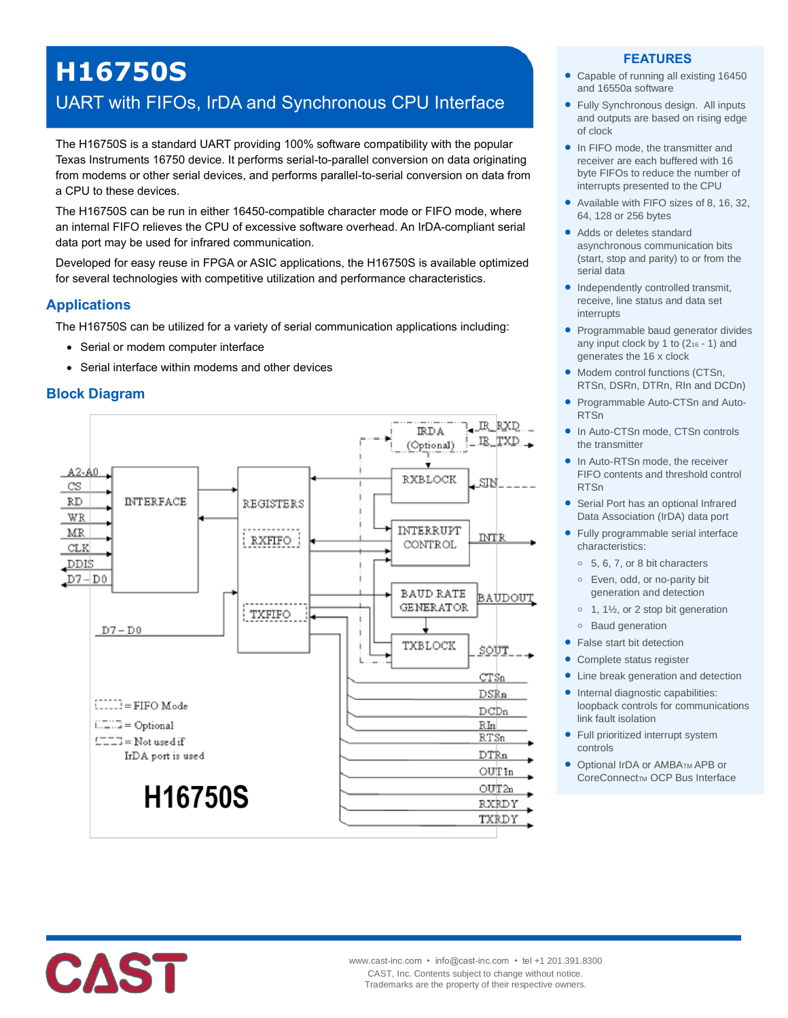# **H16750S**

# UART with FIFOs, IrDA and Synchronous CPU Interface

The H16750S is a standard UART providing 100% software compatibility with the popular Texas Instruments 16750 device. It performs serial-to-parallel conversion on data originating from modems or other serial devices, and performs parallel-to-serial conversion on data from a CPU to these devices.

The H16750S can be run in either 16450-compatible character mode or FIFO mode, where an internal FIFO relieves the CPU of excessive software overhead. An IrDA-compliant serial data port may be used for infrared communication.

Developed for easy reuse in FPGA or ASIC applications, the H16750S is available optimized for several technologies with competitive utilization and performance characteristics.

#### **Applications**

The H16750S can be utilized for a variety of serial communication applications including:

- Serial or modem computer interface
- Serial interface within modems and other devices

# **Block Diagram**



#### **FEATURES**

- Capable of running all existing 16450 and 16550a software
- Fully Synchronous design. All inputs and outputs are based on rising edge of clock
- In FIFO mode, the transmitter and receiver are each buffered with 16 byte FIFOs to reduce the number of interrupts presented to the CPU
- Available with FIFO sizes of 8, 16, 32, 64, 128 or 256 bytes
- Adds or deletes standard asynchronous communication bits (start, stop and parity) to or from the serial data
- Independently controlled transmit, receive, line status and data set interrupts
- Programmable baud generator divides any input clock by 1 to (2<sup>16</sup> - 1) and generates the 16 x clock
- Modem control functions (CTSn, RTSn, DSRn, DTRn, RIn and DCDn)
- Programmable Auto-CTSn and Auto-RTSn
- In Auto-CTSn mode, CTSn controls the transmitter
- In Auto-RTSn mode, the receiver FIFO contents and threshold control RTSn
- Serial Port has an optional Infrared Data Association (IrDA) data port
- Fully programmable serial interface characteristics:
	- **o** 5, 6, 7, or 8 bit characters
	- **o** Even, odd, or no-parity bit generation and detection
	- **o** 1, 1½, or 2 stop bit generation
	- **o** Baud generation
- False start bit detection
- Complete status register
- Line break generation and detection
- Internal diagnostic capabilities: loopback controls for communications link fault isolation
- Full prioritized interrupt system controls
- Optional IrDA or AMBATM APB or CoreConnect<sub>TM</sub> OCP Bus Interface